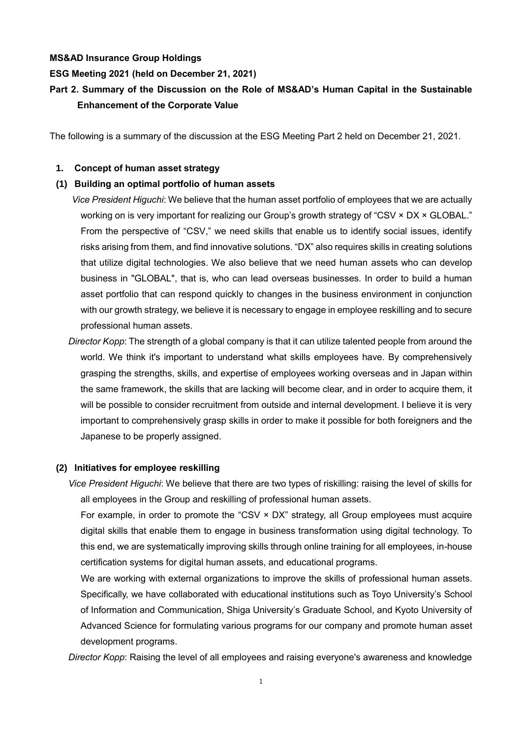## **MS&AD Insurance Group Holdings**

## **ESG Meeting 2021 (held on December 21, 2021)**

# **Part 2. Summary of the Discussion on the Role of MS&AD's Human Capital in the Sustainable Enhancement of the Corporate Value**

The following is a summary of the discussion at the ESG Meeting Part 2 held on December 21, 2021.

# **1. Concept of human asset strategy**

# **(1) Building an optimal portfolio of human assets**

*Vice President Higuchi*: We believe that the human asset portfolio of employees that we are actually working on is very important for realizing our Group's growth strategy of "CSV × DX × GLOBAL." From the perspective of "CSV," we need skills that enable us to identify social issues, identify risks arising from them, and find innovative solutions. "DX" also requires skills in creating solutions that utilize digital technologies. We also believe that we need human assets who can develop business in "GLOBAL", that is, who can lead overseas businesses. In order to build a human asset portfolio that can respond quickly to changes in the business environment in conjunction with our growth strategy, we believe it is necessary to engage in employee reskilling and to secure professional human assets.

*Director Kopp*: The strength of a global company is that it can utilize talented people from around the world. We think it's important to understand what skills employees have. By comprehensively grasping the strengths, skills, and expertise of employees working overseas and in Japan within the same framework, the skills that are lacking will become clear, and in order to acquire them, it will be possible to consider recruitment from outside and internal development. I believe it is very important to comprehensively grasp skills in order to make it possible for both foreigners and the Japanese to be properly assigned.

# **(2) Initiatives for employee reskilling**

*Vice President Higuchi*: We believe that there are two types of riskilling: raising the level of skills for all employees in the Group and reskilling of professional human assets.

For example, in order to promote the "CSV × DX" strategy, all Group employees must acquire digital skills that enable them to engage in business transformation using digital technology. To this end, we are systematically improving skills through online training for all employees, in-house certification systems for digital human assets, and educational programs.

We are working with external organizations to improve the skills of professional human assets. Specifically, we have collaborated with educational institutions such as Toyo University's School of Information and Communication, Shiga University's Graduate School, and Kyoto University of Advanced Science for formulating various programs for our company and promote human asset development programs.

*Director Kopp*: Raising the level of all employees and raising everyone's awareness and knowledge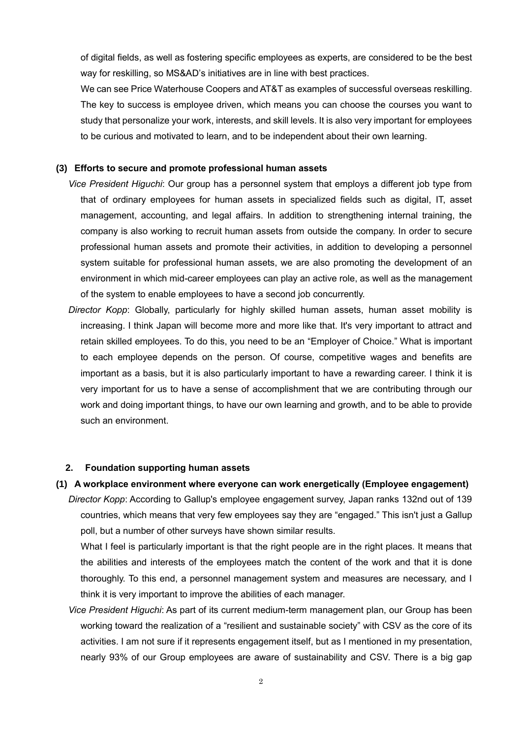of digital fields, as well as fostering specific employees as experts, are considered to be the best way for reskilling, so MS&AD's initiatives are in line with best practices.

We can see Price Waterhouse Coopers and AT&T as examples of successful overseas reskilling. The key to success is employee driven, which means you can choose the courses you want to study that personalize your work, interests, and skill levels. It is also very important for employees to be curious and motivated to learn, and to be independent about their own learning.

## **(3) Efforts to secure and promote professional human assets**

- *Vice President Higuchi*: Our group has a personnel system that employs a different job type from that of ordinary employees for human assets in specialized fields such as digital, IT, asset management, accounting, and legal affairs. In addition to strengthening internal training, the company is also working to recruit human assets from outside the company. In order to secure professional human assets and promote their activities, in addition to developing a personnel system suitable for professional human assets, we are also promoting the development of an environment in which mid-career employees can play an active role, as well as the management of the system to enable employees to have a second job concurrently.
- *Director Kopp*: Globally, particularly for highly skilled human assets, human asset mobility is increasing. I think Japan will become more and more like that. It's very important to attract and retain skilled employees. To do this, you need to be an "Employer of Choice." What is important to each employee depends on the person. Of course, competitive wages and benefits are important as a basis, but it is also particularly important to have a rewarding career. I think it is very important for us to have a sense of accomplishment that we are contributing through our work and doing important things, to have our own learning and growth, and to be able to provide such an environment.

# **2. Foundation supporting human assets**

### **(1) A workplace environment where everyone can work energetically (Employee engagement)**

*Director Kopp*: According to Gallup's employee engagement survey, Japan ranks 132nd out of 139 countries, which means that very few employees say they are "engaged." This isn't just a Gallup poll, but a number of other surveys have shown similar results.

What I feel is particularly important is that the right people are in the right places. It means that the abilities and interests of the employees match the content of the work and that it is done thoroughly. To this end, a personnel management system and measures are necessary, and I think it is very important to improve the abilities of each manager.

*Vice President Higuchi*: As part of its current medium-term management plan, our Group has been working toward the realization of a "resilient and sustainable society" with CSV as the core of its activities. I am not sure if it represents engagement itself, but as I mentioned in my presentation, nearly 93% of our Group employees are aware of sustainability and CSV. There is a big gap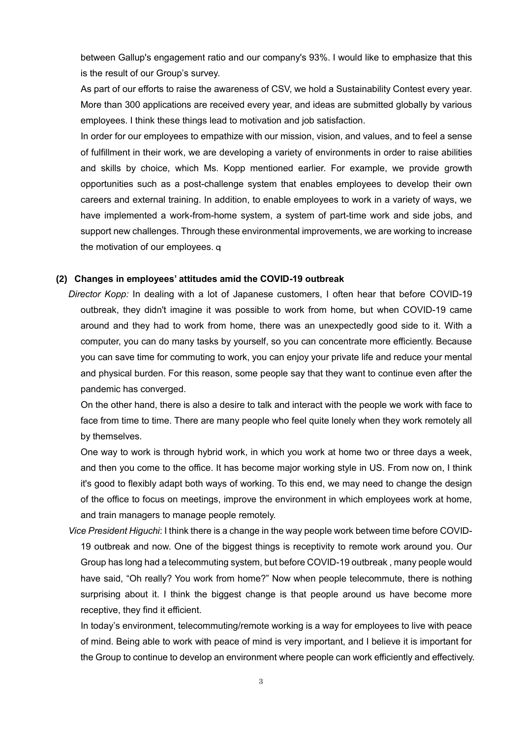between Gallup's engagement ratio and our company's 93%. I would like to emphasize that this is the result of our Group's survey.

As part of our efforts to raise the awareness of CSV, we hold a Sustainability Contest every year. More than 300 applications are received every year, and ideas are submitted globally by various employees. I think these things lead to motivation and job satisfaction.

In order for our employees to empathize with our mission, vision, and values, and to feel a sense of fulfillment in their work, we are developing a variety of environments in order to raise abilities and skills by choice, which Ms. Kopp mentioned earlier. For example, we provide growth opportunities such as a post-challenge system that enables employees to develop their own careers and external training. In addition, to enable employees to work in a variety of ways, we have implemented a work-from-home system, a system of part-time work and side jobs, and support new challenges. Through these environmental improvements, we are working to increase the motivation of our employees.q

#### **(2) Changes in employees' attitudes amid the COVID-19 outbreak**

*Director Kopp:* In dealing with a lot of Japanese customers, I often hear that before COVID-19 outbreak, they didn't imagine it was possible to work from home, but when COVID-19 came around and they had to work from home, there was an unexpectedly good side to it. With a computer, you can do many tasks by yourself, so you can concentrate more efficiently. Because you can save time for commuting to work, you can enjoy your private life and reduce your mental and physical burden. For this reason, some people say that they want to continue even after the pandemic has converged.

On the other hand, there is also a desire to talk and interact with the people we work with face to face from time to time. There are many people who feel quite lonely when they work remotely all by themselves.

One way to work is through hybrid work, in which you work at home two or three days a week, and then you come to the office. It has become major working style in US. From now on, I think it's good to flexibly adapt both ways of working. To this end, we may need to change the design of the office to focus on meetings, improve the environment in which employees work at home, and train managers to manage people remotely.

*Vice President Higuchi*: I think there is a change in the way people work between time before COVID-19 outbreak and now. One of the biggest things is receptivity to remote work around you. Our Group has long had a telecommuting system, but before COVID-19 outbreak , many people would have said, "Oh really? You work from home?" Now when people telecommute, there is nothing surprising about it. I think the biggest change is that people around us have become more receptive, they find it efficient.

In today's environment, telecommuting/remote working is a way for employees to live with peace of mind. Being able to work with peace of mind is very important, and I believe it is important for the Group to continue to develop an environment where people can work efficiently and effectively.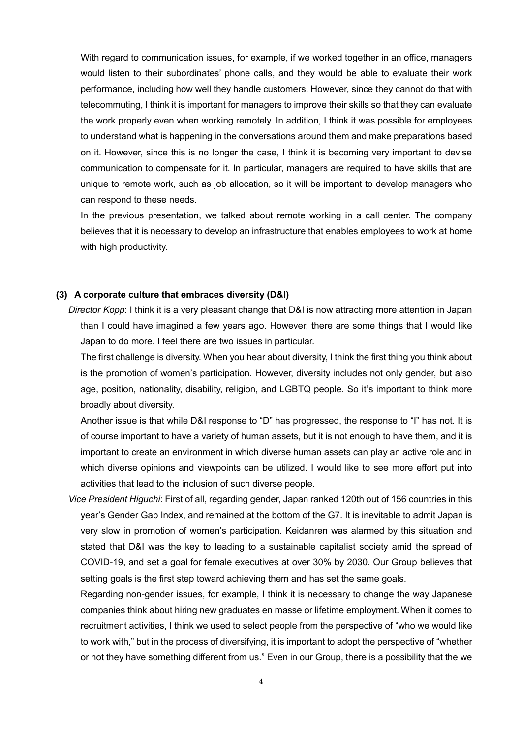With regard to communication issues, for example, if we worked together in an office, managers would listen to their subordinates' phone calls, and they would be able to evaluate their work performance, including how well they handle customers. However, since they cannot do that with telecommuting, I think it is important for managers to improve their skills so that they can evaluate the work properly even when working remotely. In addition, I think it was possible for employees to understand what is happening in the conversations around them and make preparations based on it. However, since this is no longer the case, I think it is becoming very important to devise communication to compensate for it. In particular, managers are required to have skills that are unique to remote work, such as job allocation, so it will be important to develop managers who can respond to these needs.

In the previous presentation, we talked about remote working in a call center. The company believes that it is necessary to develop an infrastructure that enables employees to work at home with high productivity.

### **(3) A corporate culture that embraces diversity (D&I)**

*Director Kopp*: I think it is a very pleasant change that D&I is now attracting more attention in Japan than I could have imagined a few years ago. However, there are some things that I would like Japan to do more. I feel there are two issues in particular.

The first challenge is diversity. When you hear about diversity, I think the first thing you think about is the promotion of women's participation. However, diversity includes not only gender, but also age, position, nationality, disability, religion, and LGBTQ people. So it's important to think more broadly about diversity.

Another issue is that while D&I response to "D" has progressed, the response to "I" has not. It is of course important to have a variety of human assets, but it is not enough to have them, and it is important to create an environment in which diverse human assets can play an active role and in which diverse opinions and viewpoints can be utilized. I would like to see more effort put into activities that lead to the inclusion of such diverse people.

*Vice President Higuchi*: First of all, regarding gender, Japan ranked 120th out of 156 countries in this year's Gender Gap Index, and remained at the bottom of the G7. It is inevitable to admit Japan is very slow in promotion of women's participation. Keidanren was alarmed by this situation and stated that D&I was the key to leading to a sustainable capitalist society amid the spread of COVID-19, and set a goal for female executives at over 30% by 2030. Our Group believes that setting goals is the first step toward achieving them and has set the same goals.

Regarding non-gender issues, for example, I think it is necessary to change the way Japanese companies think about hiring new graduates en masse or lifetime employment. When it comes to recruitment activities, I think we used to select people from the perspective of "who we would like to work with," but in the process of diversifying, it is important to adopt the perspective of "whether or not they have something different from us." Even in our Group, there is a possibility that the we